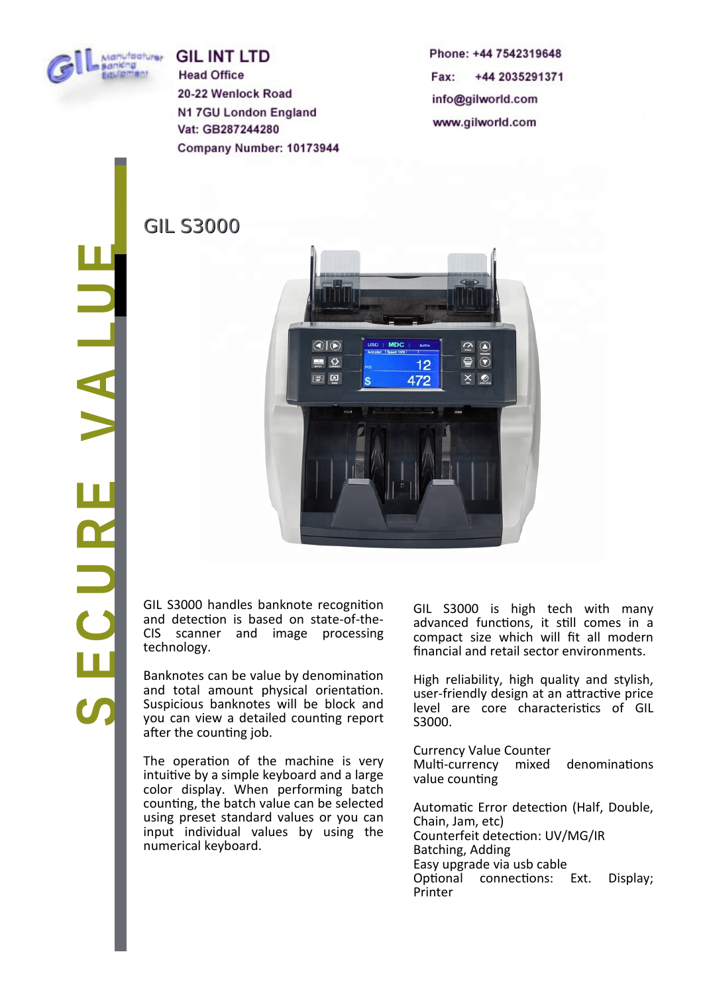

**GIL INT LTD Head Office** 20-22 Wenlock Road N1 7GU London England Vat: GB287244280 Company Number: 10173944

GIL S3000

Phone: +44 7542319648 Fax: +44 2035291371 info@gilworld.com www.gilworld.com

 $\boldsymbol{\omega}$ **ECUREVALUE**

 $\bigcirc$   $\bigcirc$  $\sim$  $\overline{\odot}$  $\Box$   $\Omega$  $\oplus$  $12$ 国口 472  $\times 2$ ¢

technology. GIL S3000 handles banknote recognition and detection is based on state-of-the-CIS scanner and image processing

after the counting job. Banknotes can be value by denomination and total amount physical orientation. Suspicious banknotes will be block and you can view a detailed counting report

The operation of the machine is very intuitive by a simple keyboard and a large color display. When performing batch counting, the batch value can be selected using preset standard vaiues or you can input individual values by using the numericai keyboard.

GIL S3000 is high tech with many advanced functions, it still comes in a compact size which will fit all modern fnanciai and retaii sector environments.

High reiiabiiity, high quaiity and styiish, user-friendly design at an attractive price level are core characteristics of GIL S3000.

Currency Vaiue Counter Multi-currency mixed denominations value counting Automatic Error detection (Half, Double,

Chain, Jam, etc) Counterfeit detecton: UV/MG/IR Batching, Adding Easy upgrade via usb cabie Optional connections: Ext. Display; Printer